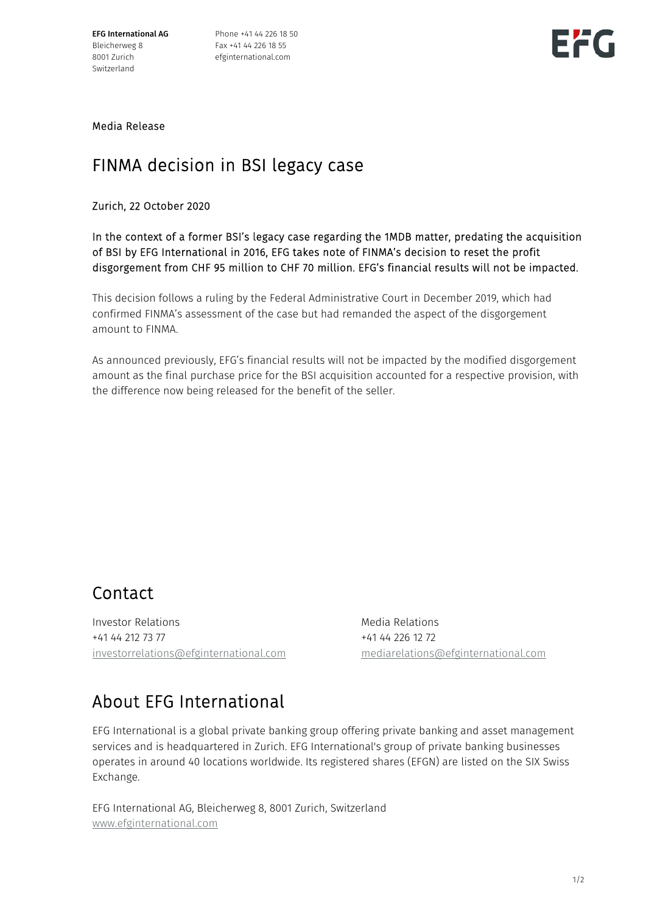EFG International AG Bleicherweg 8 8001 Zurich Switzerland

Phone +41 44 226 18 50 Fax +41 44 226 18 55 efginternational.com



Media Release

## FINMA decision in BSI legacy case

Zurich, 22 October 2020

In the context of a former BSI's legacy case regarding the 1MDB matter, predating the acquisition of BSI by EFG International in 2016, EFG takes note of FINMA's decision to reset the profit disgorgement from CHF 95 million to CHF 70 million. EFG's financial results will not be impacted.

This decision follows a ruling by the Federal Administrative Court in December 2019, which had confirmed FINMA's assessment of the case but had remanded the aspect of the disgorgement amount to FINMA.

As announced previously, EFG's financial results will not be impacted by the modified disgorgement amount as the final purchase price for the BSI acquisition accounted for a respective provision, with the difference now being released for the benefit of the seller.

## Contact

Investor Relations **Media Relations** Media Relations +41 44 212 73 77 +41 44 226 12 72 investorrelations@efginternational.com mediarelations@efginternational.com

## About EFG International

EFG International is a global private banking group offering private banking and asset management services and is headquartered in Zurich. EFG International's group of private banking businesses operates in around 40 locations worldwide. Its registered shares (EFGN) are listed on the SIX Swiss Exchange.

EFG International AG, Bleicherweg 8, 8001 Zurich, Switzerland www.efginternational.com